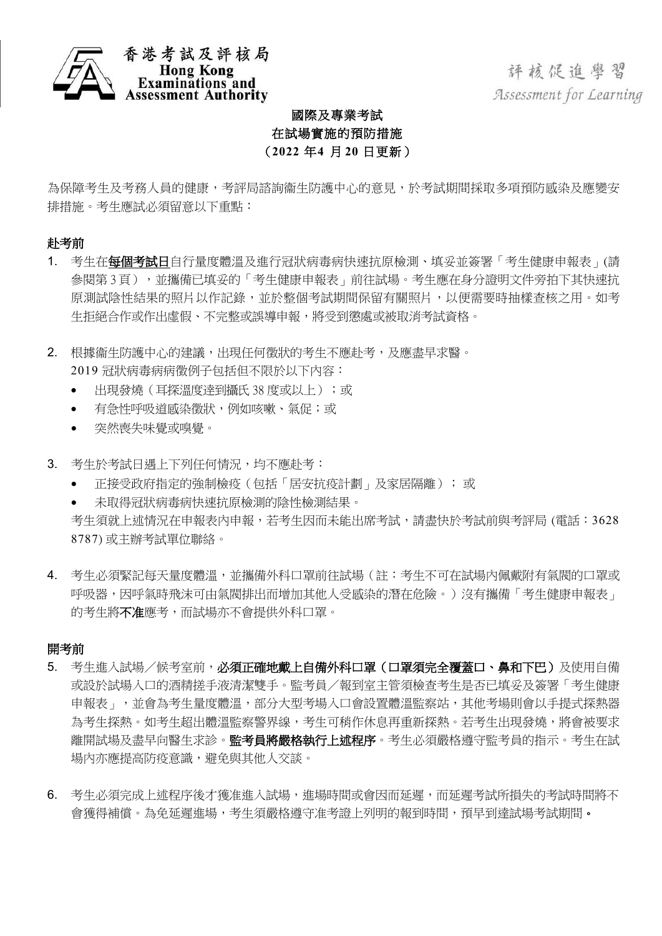

香港考試及評核局<br>Hong Kong<br>Examinations and ment Authority

評核促進學習 Assessment for Learning

## 國際及專業考試 在試場實施的預防措施 ( **2022** 年 **4** 月 **20** 日更新)

為保障考生及考務人員的健康,考評局諮詢衞生防護中心的意見,於考試期間採取多項預防感染及應變安 排措施。考生應試必須留意以下重點:

## 赴考前

- 1. 考生在每個考試日自行量度體溫及進行冠狀病毒病快速抗原檢測、填妥並簽署「考生健康申報表」(請 参閱第3頁),並攜備已填妥的「考生健康申報表」前往試場。考生應在身分證明文件旁拍下其快速抗 原測試陰性結果的照片以作記錄,並於整個考試期間保留有關照片,以便需要時抽樣查核之用。如考 生拒絕合作或作出虛假、不完整或誤導申報,將受到懲處或被取消考試資格。
- 2. 根據衞生防護中心的建議,出現任何徵狀的考生不應赴考,及應盡早求醫。 2019 冠狀病毒病病徵例子包括但不限於以下內容:
	- 出現發燒(耳探溫度逹到攝氏 38 度或以上);或
	- 有急性呼吸道感染徵狀,例如咳嗽、氣促;或
	- 突然喪失味覺或嗅覺。
- 3. 考生於考試日遇上下列任何情況,均不應赴考:
	- 正接受政府指定的強制檢疫(包括「居安抗疫計劃」及家居隔離); 或
	- 未取得冠狀病毒病快速抗原檢測的陰性檢測結果。

考生須就上述情況在申報表內申報,若考生因而未能出席考試,請盡快於考試前與考評局 (電話:3628 8787) 或主辦考試單位聯絡。

4. 考生必須緊記每天量度體溫,並攜備外科口罩前往試場(註:考生不可在試場內佩戴附有氣閥的口罩或 呼吸器,因呼氣時飛沫可由氣閥排出而增加其他人受感染的潛在危險。)沒有攜備「考生健康申報表」 的考生將不准應考,而試場亦不會提供外科口罩。

## 開考前

- 5. 考生進入試場/候考室前,必須正確地戴上自備外科口罩(口罩須完全覆蓋口、鼻和下巴)及使用自備 或設於試場入口的酒精搓手液清潔雙手。監考員/報到室主管須檢查考生是否已填妥及簽署「考生健康 申報表」,並會為考生量度體溫,部分大型考場入口會設置體溫監察站,其他考場則會以手提式探熱器 為考生探熱。如考生超出體溫監察警界線,考生可稍作休息再重新探熱。若考生出現發燒,將會被要求 離開試場及盡早向醫生求診。**監考員將嚴格執行上述程序**。考生必須嚴格遵守監考員的指示。考生在試 場內亦應提高防疫意識,避免與其他人交談。
- 6. 考生必須完成上述程序後才獲准進入試場,進場時間或會因而延遲,而延遲考試所損失的考試時間將不 會獲得補償。為免延遲進場,考生須嚴格遵守准考證上列明的報到時間,預早到達試場考試期間。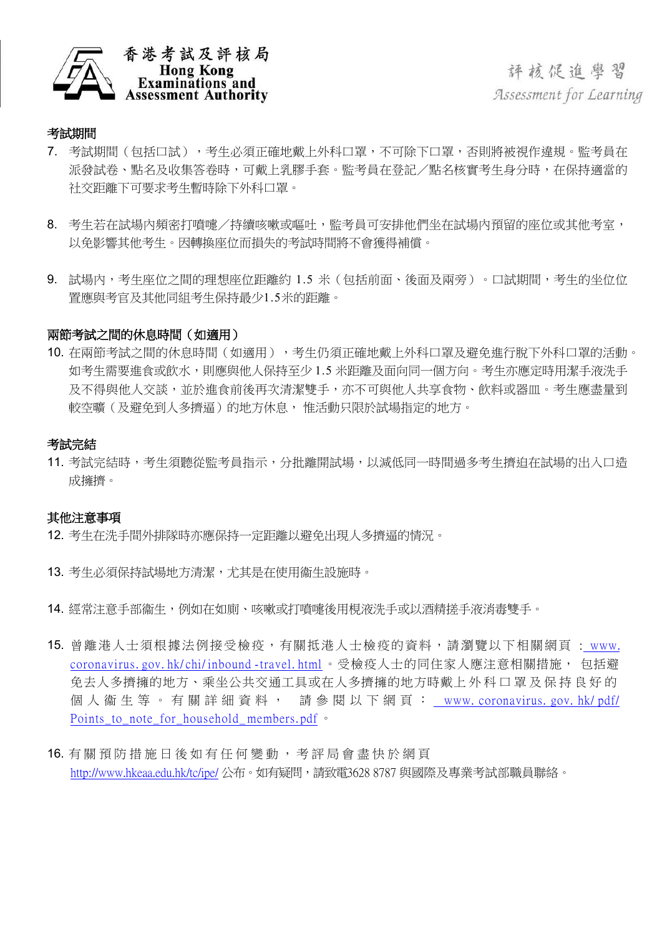

評核促進學習 Assessment for Learning

### 考試期間

- 7. 考試期間(包括口試),考生必須正確地戴上外科口罩,不可除下口罩,否則將被視作違規。監考員在 派發試卷、點名及收集答卷時,可戴上乳膠手套。監考員在登記/點名核實考生身分時,在保持適當的 社交距離下可要求考生暫時除下外科口罩。
- 8. 考生若在試場內頻密打噴嚏/持續咳嗽或嘔叶,監考員可安排他們坐在試場內預留的座位或其他考室, 以免影響其他考生。因轉換座位而損失的考試時間將不會獲得補償。
- 9. 試場內,考生座位之間的理想座位距離約 1.5 米 (包括前面、後面及兩旁)。口試期間,考生的坐位位 置應與考官及其他同組考生保持最少1.5米的距離。

### 兩節考試之間的休息時間(如適用)

10. 在兩節考試之間的休息時間(如適用),考生仍須正確地戴上外科口罩及避免進行脫下外科口罩的活動。 如考生需要進食或飲水,則應與他人保持至少 1.5 米距離及面向同一個方向。考生亦應定時用潔手液洗手 及不得與他人交談,並於進食前後再次清潔雙手,亦不可與他人共享食物、飲料或器皿。考生應盡量到 較空曠(及避免到人多擠逼)的地方休息, 惟活動只限於試場指定的地方。

#### 考試完結

11. 考試完結時,考生須聽從監考員指示,分批離開試場,以減低同一時間過多考生擠迫在試場的出入口造 成擁擠。

#### 其他注意事項

- 12. 考生在洗手間外排隊時亦應保持一定距離以避免出現人多擠逼的情況。
- 13. 考生必須保持試場地方清潔,尤其是在使用衞生設施時。
- 14. 經常注意手部衞生,例如在如廁、咳嗽或打噴嚏後用梘液洗手或以酒精搓手液消毒雙手。
- 15. 曾離港人士須根據法例接受檢疫,有關抵港人士檢疫的資料,請瀏覽以下相關網頁 : [www.](http://www.coronavirus.gov.hk/chi/inbound-travel.html)  [coronavirus. gov. hk/](http://www.coronavirus.gov.hk/chi/inbound-travel.html) chi/ inbound -travel. html 。 受檢疫人士的同住家人應注意相關措施, 包括避 免去人多擠擁的地方、乘坐公共交通工具或在人多擠擁的地方時戴上外科口罩及保持良好的 個人衞生等。有關詳細資料, 請參閱以下網頁: [www. coronavirus. gov. hk/](http://www.coronavirus.gov.hk/pdf/Points_to_note_for_household_members.pdf) pdf/ Points to note for household members. pdf 。
- 16. 有 關 預 防 措 施 日 後 如 有 任 何 變 動 , 考 評 局 會 盡 快 於 網 頁 <http://www.hkeaa.edu.hk/tc/ipe/> 公布。如有疑問,請致雷3628 8787 與國際及專業考試部職員聯絡。